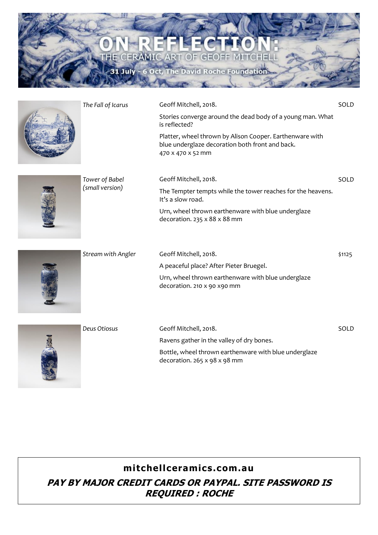

|  | The Fall of Icarus | Geoff Mitchell, 2018.                                                                                                            | SOLD   |
|--|--------------------|----------------------------------------------------------------------------------------------------------------------------------|--------|
|  |                    | Stories converge around the dead body of a young man. What<br>is reflected?                                                      |        |
|  |                    | Platter, wheel thrown by Alison Cooper. Earthenware with<br>blue underglaze decoration both front and back.<br>470 x 470 x 52 mm |        |
|  | Tower of Babel     | Geoff Mitchell, 2018.                                                                                                            | SOLD   |
|  | (small version)    | The Tempter tempts while the tower reaches for the heavens.<br>It's a slow road.                                                 |        |
|  |                    | Urn, wheel thrown earthenware with blue underglaze<br>decoration. 235 x 88 x 88 mm                                               |        |
|  | Stream with Angler | Geoff Mitchell, 2018.                                                                                                            | \$1125 |
|  |                    | A peaceful place? After Pieter Bruegel.                                                                                          |        |
|  |                    | Urn, wheel thrown earthenware with blue underglaze<br>decoration. 210 x 90 x90 mm                                                |        |
|  | Deus Otiosus       | Geoff Mitchell, 2018.                                                                                                            | SOLD   |
|  |                    | Ravens gather in the valley of dry bones.                                                                                        |        |
|  |                    | Bottle, wheel thrown earthenware with blue underglaze<br>decoration. 265 x 98 x 98 mm                                            |        |

**mitchellceramics.com.au**

**CERA**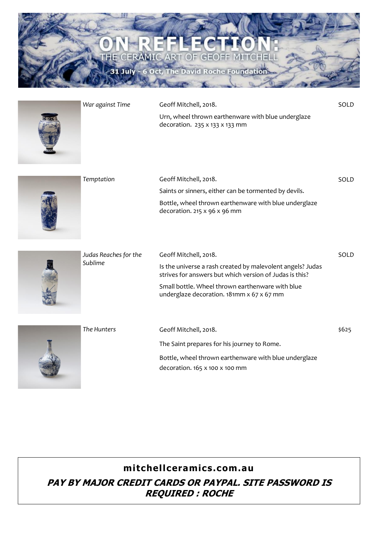

| War against Time | Geoff Mitchell, 2018.                                                                | SOLD  |
|------------------|--------------------------------------------------------------------------------------|-------|
|                  | Urn, wheel thrown earthenware with blue underglaze<br>decoration. 235 x 133 x 133 mm |       |
| Temntation       | Geoff Mitchell 2018.                                                                 | ח וחד |



| Temptation | Geoff Mitchell, 2018.                                                                               | SOLD |
|------------|-----------------------------------------------------------------------------------------------------|------|
|            | Saints or sinners, either can be tormented by devils.                                               |      |
|            | Bottle, wheel thrown earthenware with blue underglaze<br>decoration. 215 $\times$ 96 $\times$ 96 mm |      |
|            |                                                                                                     |      |



| Judas Reaches for the<br>Sublime | Geoff Mitchell, 2018.                                                                                                 | SOLD  |
|----------------------------------|-----------------------------------------------------------------------------------------------------------------------|-------|
|                                  | Is the universe a rash created by malevolent angels? Judas<br>strives for answers but which version of Judas is this? |       |
|                                  | Small bottle. Wheel thrown earthenware with blue<br>underglaze decoration. 181mm x 67 x 67 mm                         |       |
| The Hunters                      | Geoff Mitchell, 2018.                                                                                                 | \$625 |
|                                  | The Saint prepares for his journey to Rome.                                                                           |       |
|                                  | Bottle, wheel thrown earthenware with blue underglaze                                                                 |       |

decoration. 165 x 100 x 100 mm

**mitchellceramics.com.au**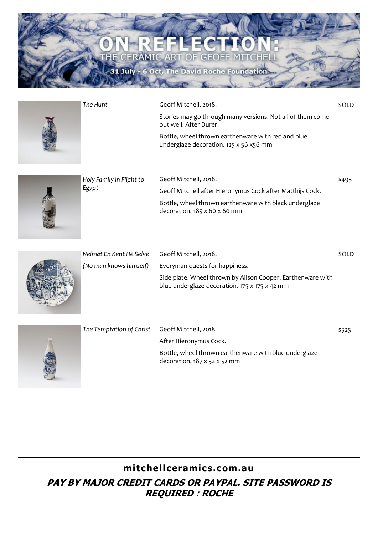

| The Hunt | Geoff Mitchell, 2018.                                                                        | SOLD |
|----------|----------------------------------------------------------------------------------------------|------|
|          | Stories may go through many versions. Not all of them come<br>out well. After Durer.         |      |
|          | Bottle, wheel thrown earthenware with red and blue<br>underglaze decoration. 125 x 56 x56 mm |      |



| Holy Family in Flight to<br>Egypt | Geoff Mitchell, 2018.<br>Geoff Mitchell after Hieronymus Cock after Matthijs Cock.                 | \$495 |
|-----------------------------------|----------------------------------------------------------------------------------------------------|-------|
|                                   | Bottle, wheel thrown earthenware with black underglaze<br>decoration. $185 \times 60 \times 60$ mm |       |



| Neimāt En Kent Hē Selvē | Geoff Mitchell, 2018.                                                                                        | SOI D |
|-------------------------|--------------------------------------------------------------------------------------------------------------|-------|
| (No man knows himself)  | Everyman quests for happiness.                                                                               |       |
|                         | Side plate. Wheel thrown by Alison Cooper. Earthenware with<br>blue underglaze decoration. 175 x 175 x 42 mm |       |



| The Temptation of Christ Geoff Mitchell, 2018. |                                                                                                   | \$525 |
|------------------------------------------------|---------------------------------------------------------------------------------------------------|-------|
|                                                | After Hieronymus Cock.                                                                            |       |
|                                                | Bottle, wheel thrown earthenware with blue underglaze<br>decoration. $187 \times 52 \times 52$ mm |       |

## **mitchellceramics.com.au**